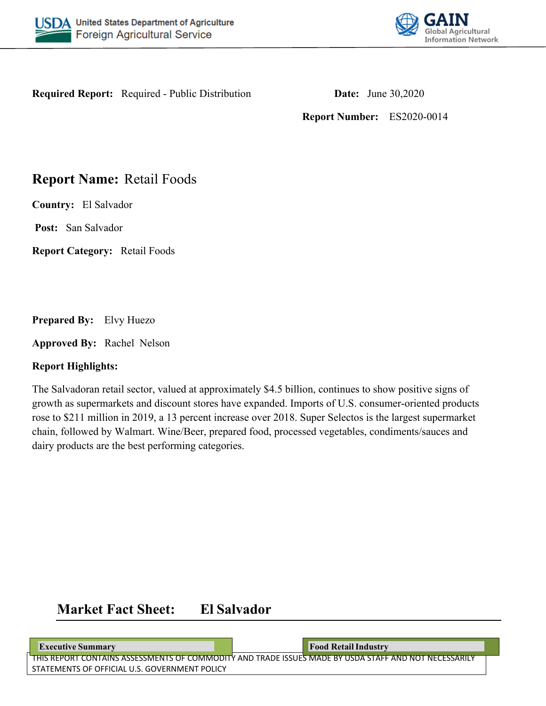



**Required Report:** Required - Public Distribution **Date:** June 30,2020

**Report Number:** ES2020-0014

## **Report Name:** Retail Foods

**Country:** El Salvador

**Post:** San Salvador

**Report Category:** Retail Foods

**Prepared By:** Elvy Huezo

**Approved By:** Rachel Nelson

## **Report Highlights:**

The Salvadoran retail sector, valued at approximately \$4.5 billion, continues to show positive signs of growth as supermarkets and discount stores have expanded. Imports of U.S. consumer-oriented products rose to \$211 million in 2019, a 13 percent increase over 2018. Super Selectos is the largest supermarket chain, followed by Walmart. Wine/Beer, prepared food, processed vegetables, condiments/sauces and dairy products are the best performing categories.

# **Market Fact Sheet: El Salvador**

THIS REPORT CONTAINS ASSESSMENTS OF COMMODITY AND TRADE ISSUES MADE BY USDA STAFF AND NOT NECESSARILY **Executive Summary Food Retail Industry Food Retail Industry** 

STATEMENTS OF OFFICIAL U.S. GOVERNMENT POLICY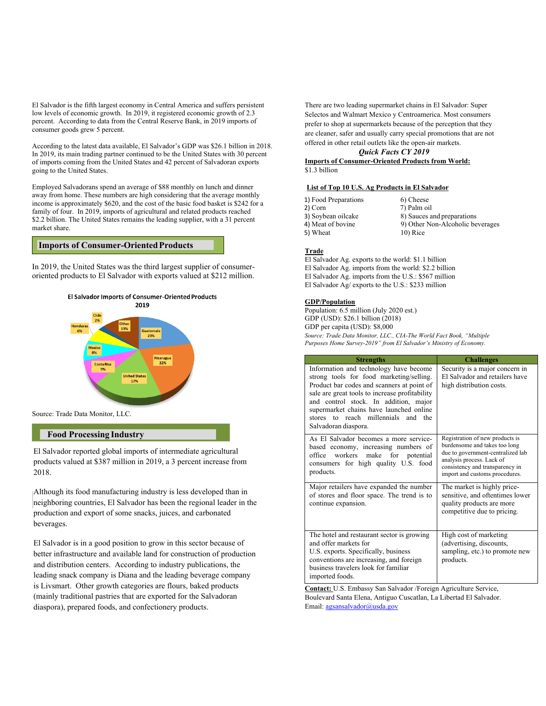El Salvador is the fifth largest economy in Central America and suffers persistent low levels of economic growth. In 2019, it registered economic growth of 2.3 percent. According to data from the Central Reserve Bank, in 2019 imports of consumer goods grew 5 percent.

According to the latest data available, El Salvador's GDP was \$26.1 billion in 2018. In 2019, its main trading partner continued to be the United States with 30 percent of imports coming from the United States and 42 percent of Salvadoran exports going to the United States.

Employed Salvadorans spend an average of \$88 monthly on lunch and dinner away from home. These numbers are high considering that the average monthly income is approximately \$620, and the cost of the basic food basket is \$242 for a family of four. In 2019, imports of agricultural and related products reached \$2.2 billion. The United States remains the leading supplier, with a 31 percent market share.

#### **Imports of Consumer-Oriented Products**

In 2019, the United States was the third largest supplier of consumeroriented products to El Salvador with exports valued at \$212 million.



Source: Trade Data Monitor, LLC.

#### **Food Processing Industry**

El Salvador reported global imports of intermediate agricultural products valued at \$387 million in 2019, a 3 percent increase from 2018.

Although its food manufacturing industry is less developed than in neighboring countries, El Salvador has been the regional leader in the production and export of some snacks, juices, and carbonated beverages.

El Salvador is in a good position to grow in this sector because of better infrastructure and available land for construction of production and distribution centers. According to industry publications, the leading snack company is Diana and the leading beverage company is Livsmart. Other growth categories are flours, baked products (mainly traditional pastries that are exported for the Salvadoran diaspora), prepared foods, and confectionery products.

There are two leading supermarket chains in El Salvador: Super Selectos and Walmart Mexico y Centroamerica. Most consumers prefer to shop at supermarkets because of the perception that they are cleaner, safer and usually carry special promotions that are not offered in other retail outlets like the open-air markets.

#### *Quick Facts CY 2019*

**Imports of Consumer-Oriented Products from World:**  \$1.3 billion

#### **List of Top 10 U.S. Ag Products in El Salvador**

| 1) Food Preparations | 6) Cheese                        |
|----------------------|----------------------------------|
| 2) Corn              | 7) Palm oil                      |
| 3) Soybean oilcake   | 8) Sauces and preparations       |
| 4) Meat of bovine    | 9) Other Non-Alcoholic beverages |
| 5) Wheat             | $10)$ Rice                       |
|                      |                                  |

#### **Trade**

El Salvador Ag. exports to the world: \$1.1 billion El Salvador Ag. imports from the world: \$2.2 billion El Salvador Ag. imports from the U.S.: \$567 million El Salvador Ag/ exports to the U.S.: \$233 million

#### **GDP/Population**

Population: 6.5 million (July 2020 est.) GDP (USD): \$26.1 billion (2018) GDP per capita (USD): \$8,000 *Source: Trade Data Monitor, LLC., CIA-The World Fact Book, "Multiple Purposes Home Survey-2019" from El Salvador's Ministry of Economy.*

| <b>Strengths</b>                                                                                                                                                                                                                                                                                                                      | <b>Challenges</b>                                                                                                                                                                                       |  |  |  |
|---------------------------------------------------------------------------------------------------------------------------------------------------------------------------------------------------------------------------------------------------------------------------------------------------------------------------------------|---------------------------------------------------------------------------------------------------------------------------------------------------------------------------------------------------------|--|--|--|
| Information and technology have become<br>strong tools for food marketing/selling.<br>Product bar codes and scanners at point of<br>sale are great tools to increase profitability<br>and control stock. In addition, major<br>supermarket chains have launched online<br>stores to reach millennials and the<br>Salvadoran diaspora. | Security is a major concern in<br>El Salvador and retailers have<br>high distribution costs.                                                                                                            |  |  |  |
| As El Salvador becomes a more service-<br>based economy, increasing numbers of<br>office workers make for potential<br>consumers for high quality U.S. food<br>products.                                                                                                                                                              | Registration of new products is<br>burdensome and takes too long<br>due to government-centralized lab<br>analysis process. Lack of<br>consistency and transparency in<br>import and customs procedures. |  |  |  |
| Major retailers have expanded the number<br>of stores and floor space. The trend is to<br>continue expansion.                                                                                                                                                                                                                         | The market is highly price-<br>sensitive, and oftentimes lower<br>quality products are more<br>competitive due to pricing.                                                                              |  |  |  |
| The hotel and restaurant sector is growing<br>and offer markets for<br>U.S. exports. Specifically, business<br>conventions are increasing, and foreign<br>business travelers look for familiar<br>imported foods.                                                                                                                     | High cost of marketing<br>(advertising, discounts,<br>sampling, etc.) to promote new<br>products.                                                                                                       |  |  |  |

**Contact:** U.S. Embassy San Salvador /Foreign Agriculture Service, Boulevard Santa Elena, Antiguo Cuscatlan, La Libertad El Salvador. Email: [agsansalvador@usda.gov](mailto:agsansalvador@usda.gov)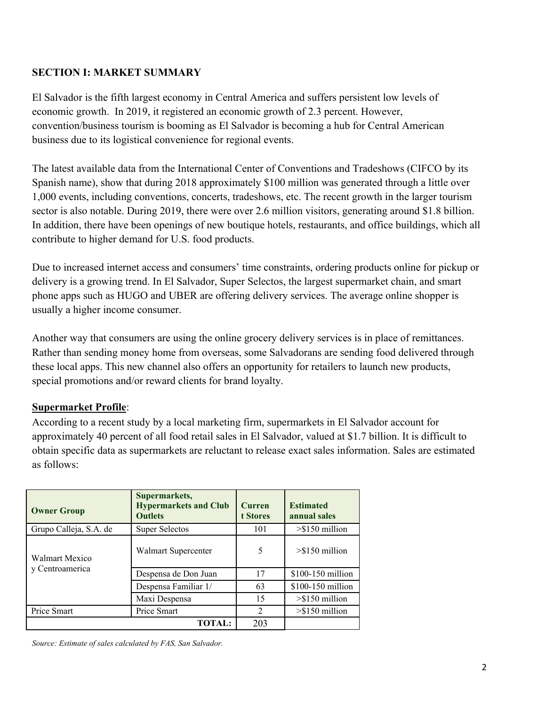## **SECTION I: MARKET SUMMARY**

El Salvador is the fifth largest economy in Central America and suffers persistent low levels of economic growth. In 2019, it registered an economic growth of 2.3 percent. However, convention/business tourism is booming as El Salvador is becoming a hub for Central American business due to its logistical convenience for regional events.

The latest available data from the International Center of Conventions and Tradeshows (CIFCO by its Spanish name), show that during 2018 approximately \$100 million was generated through a little over 1,000 events, including conventions, concerts, tradeshows, etc. The recent growth in the larger tourism sector is also notable. During 2019, there were over 2.6 million visitors, generating around \$1.8 billion. In addition, there have been openings of new boutique hotels, restaurants, and office buildings, which all contribute to higher demand for U.S. food products.

Due to increased internet access and consumers' time constraints, ordering products online for pickup or delivery is a growing trend. In El Salvador, Super Selectos, the largest supermarket chain, and smart phone apps such as HUGO and UBER are offering delivery services. The average online shopper is usually a higher income consumer.

Another way that consumers are using the online grocery delivery services is in place of remittances. Rather than sending money home from overseas, some Salvadorans are sending food delivered through these local apps. This new channel also offers an opportunity for retailers to launch new products, special promotions and/or reward clients for brand loyalty.

## **Supermarket Profile**:

According to a recent study by a local marketing firm, supermarkets in El Salvador account for approximately 40 percent of all food retail sales in El Salvador, valued at \$1.7 billion. It is difficult to obtain specific data as supermarkets are reluctant to release exact sales information. Sales are estimated as follows:

| <b>Owner Group</b>                | Supermarkets,<br><b>Hypermarkets and Club</b><br><b>Outlets</b> | <b>Curren</b><br>t Stores   | <b>Estimated</b><br>annual sales |
|-----------------------------------|-----------------------------------------------------------------|-----------------------------|----------------------------------|
| Grupo Calleja, S.A. de            | <b>Super Selectos</b>                                           | 101                         | $> $150$ million                 |
| Walmart Mexico<br>y Centroamerica | Walmart Supercenter                                             | 5                           | $> $150$ million                 |
|                                   | Despensa de Don Juan                                            | 17                          | $$100-150$ million               |
|                                   | Despensa Familiar 1/                                            | 63                          | $$100-150$ million               |
|                                   | Maxi Despensa                                                   | 15                          | $>\frac{5150}{2}$ million        |
| Price Smart                       | Price Smart                                                     | $\mathcal{D}_{\mathcal{A}}$ | $> $150$ million                 |
|                                   | <b>TOTAL:</b>                                                   | 203                         |                                  |

*Source: Estimate of sales calculated by FAS, San Salvador.*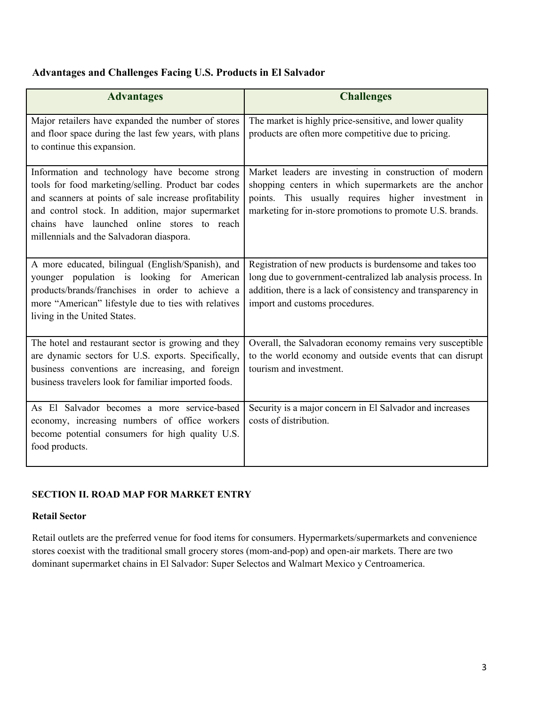## **Advantages and Challenges Facing U.S. Products in El Salvador**

| <b>Advantages</b>                                                                                                                                                                                                                                                                                             | <b>Challenges</b>                                                                                                                                                                                                                  |
|---------------------------------------------------------------------------------------------------------------------------------------------------------------------------------------------------------------------------------------------------------------------------------------------------------------|------------------------------------------------------------------------------------------------------------------------------------------------------------------------------------------------------------------------------------|
| Major retailers have expanded the number of stores<br>and floor space during the last few years, with plans<br>to continue this expansion.                                                                                                                                                                    | The market is highly price-sensitive, and lower quality<br>products are often more competitive due to pricing.                                                                                                                     |
| Information and technology have become strong<br>tools for food marketing/selling. Product bar codes<br>and scanners at points of sale increase profitability<br>and control stock. In addition, major supermarket<br>chains have launched online stores to reach<br>millennials and the Salvadoran diaspora. | Market leaders are investing in construction of modern<br>shopping centers in which supermarkets are the anchor<br>points. This usually requires higher investment in<br>marketing for in-store promotions to promote U.S. brands. |
| A more educated, bilingual (English/Spanish), and<br>younger population is looking for American<br>products/brands/franchises in order to achieve a<br>more "American" lifestyle due to ties with relatives<br>living in the United States.                                                                   | Registration of new products is burdensome and takes too<br>long due to government-centralized lab analysis process. In<br>addition, there is a lack of consistency and transparency in<br>import and customs procedures.          |
| The hotel and restaurant sector is growing and they<br>are dynamic sectors for U.S. exports. Specifically,<br>business conventions are increasing, and foreign<br>business travelers look for familiar imported foods.                                                                                        | Overall, the Salvadoran economy remains very susceptible<br>to the world economy and outside events that can disrupt<br>tourism and investment.                                                                                    |
| As El Salvador becomes a more service-based<br>economy, increasing numbers of office workers<br>become potential consumers for high quality U.S.<br>food products.                                                                                                                                            | Security is a major concern in El Salvador and increases<br>costs of distribution.                                                                                                                                                 |

## **SECTION II. ROAD MAP FOR MARKET ENTRY**

#### **Retail Sector**

Retail outlets are the preferred venue for food items for consumers. Hypermarkets/supermarkets and convenience stores coexist with the traditional small grocery stores (mom-and-pop) and open-air markets. There are two dominant supermarket chains in El Salvador: Super Selectos and Walmart Mexico y Centroamerica.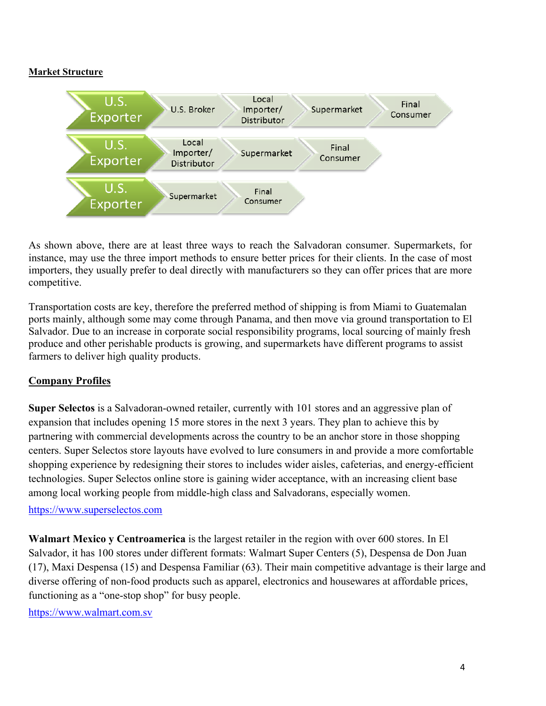#### **Market Structure**



As shown above, there are at least three ways to reach the Salvadoran consumer. Supermarkets, for instance, may use the three import methods to ensure better prices for their clients. In the case of most importers, they usually prefer to deal directly with manufacturers so they can offer prices that are more competitive.

Transportation costs are key, therefore the preferred method of shipping is from Miami to Guatemalan ports mainly, although some may come through Panama, and then move via ground transportation to El Salvador. Due to an increase in corporate social responsibility programs, local sourcing of mainly fresh produce and other perishable products is growing, and supermarkets have different programs to assist farmers to deliver high quality products.

## **Company Profiles**

**Super Selectos** is a Salvadoran-owned retailer, currently with 101 stores and an aggressive plan of expansion that includes opening 15 more stores in the next 3 years. They plan to achieve this by partnering with commercial developments across the country to be an anchor store in those shopping centers. Super Selectos store layouts have evolved to lure consumers in and provide a more comfortable shopping experience by redesigning their stores to includes wider aisles, cafeterias, and energy-efficient technologies. Super Selectos online store is gaining wider acceptance, with an increasing client base among local working people from middle-high class and Salvadorans, especially women.

#### [https://www.superselectos.com](https://www.superselectos.com/)

**Walmart Mexico y Centroamerica** is the largest retailer in the region with over 600 stores. In El Salvador, it has 100 stores under different formats: Walmart Super Centers (5), Despensa de Don Juan (17), Maxi Despensa (15) and Despensa Familiar (63). Their main competitive advantage is their large and diverse offering of non-food products such as apparel, electronics and housewares at affordable prices, functioning as a "one-stop shop" for busy people.

[https://www.walmart.com.sv](https://www.walmart.com.sv/)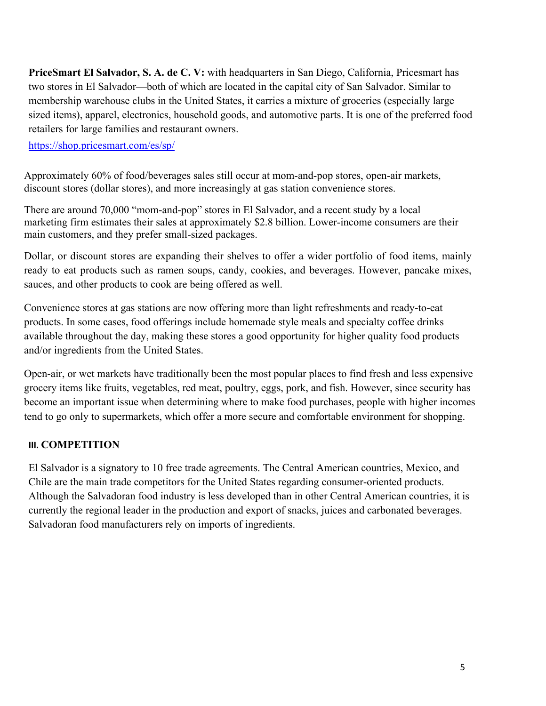**PriceSmart El Salvador, S. A. de C. V:** with headquarters in San Diego, California, Pricesmart has two stores in El Salvador—both of which are located in the capital city of San Salvador. Similar to membership warehouse clubs in the United States, it carries a mixture of groceries (especially large sized items), apparel, electronics, household goods, and automotive parts. It is one of the preferred food retailers for large families and restaurant owners.

<https://shop.pricesmart.com/es/sp/>

Approximately 60% of food/beverages sales still occur at mom-and-pop stores, open-air markets, discount stores (dollar stores), and more increasingly at gas station convenience stores.

There are around 70,000 "mom-and-pop" stores in El Salvador, and a recent study by a local marketing firm estimates their sales at approximately \$2.8 billion. Lower-income consumers are their main customers, and they prefer small-sized packages.

Dollar, or discount stores are expanding their shelves to offer a wider portfolio of food items, mainly ready to eat products such as ramen soups, candy, cookies, and beverages. However, pancake mixes, sauces, and other products to cook are being offered as well.

Convenience stores at gas stations are now offering more than light refreshments and ready-to-eat products. In some cases, food offerings include homemade style meals and specialty coffee drinks available throughout the day, making these stores a good opportunity for higher quality food products and/or ingredients from the United States.

Open-air, or wet markets have traditionally been the most popular places to find fresh and less expensive grocery items like fruits, vegetables, red meat, poultry, eggs, pork, and fish. However, since security has become an important issue when determining where to make food purchases, people with higher incomes tend to go only to supermarkets, which offer a more secure and comfortable environment for shopping.

## **III. COMPETITION**

El Salvador is a signatory to 10 free trade agreements. The Central American countries, Mexico, and Chile are the main trade competitors for the United States regarding consumer-oriented products. Although the Salvadoran food industry is less developed than in other Central American countries, it is currently the regional leader in the production and export of snacks, juices and carbonated beverages. Salvadoran food manufacturers rely on imports of ingredients.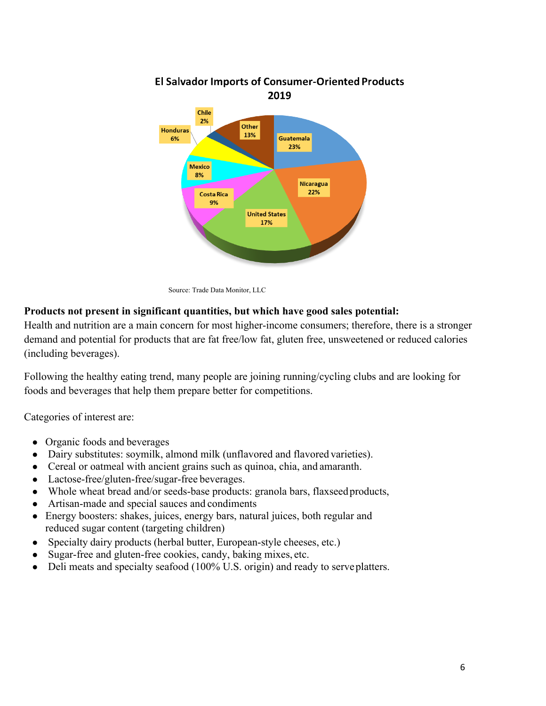

# **El Salvador Imports of Consumer-Oriented Products**

Source: Trade Data Monitor, LLC

## **Products not present in significant quantities, but which have good sales potential:**

Health and nutrition are a main concern for most higher-income consumers; therefore, there is a stronger demand and potential for products that are fat free/low fat, gluten free, unsweetened or reduced calories (including beverages).

Following the healthy eating trend, many people are joining running/cycling clubs and are looking for foods and beverages that help them prepare better for competitions.

Categories of interest are:

- Organic foods and beverages
- Dairy substitutes: soymilk, almond milk (unflavored and flavored varieties).
- Cereal or oatmeal with ancient grains such as quinoa, chia, and amaranth.
- Lactose-free/gluten-free/sugar-free beverages.
- Whole wheat bread and/or seeds-base products: granola bars, flaxseed products,
- Artisan-made and special sauces and condiments
- Energy boosters: shakes, juices, energy bars, natural juices, both regular and reduced sugar content (targeting children)
- Specialty dairy products (herbal butter, European-style cheeses, etc.)
- Sugar-free and gluten-free cookies, candy, baking mixes, etc.
- Deli meats and specialty seafood (100% U.S. origin) and ready to serve platters.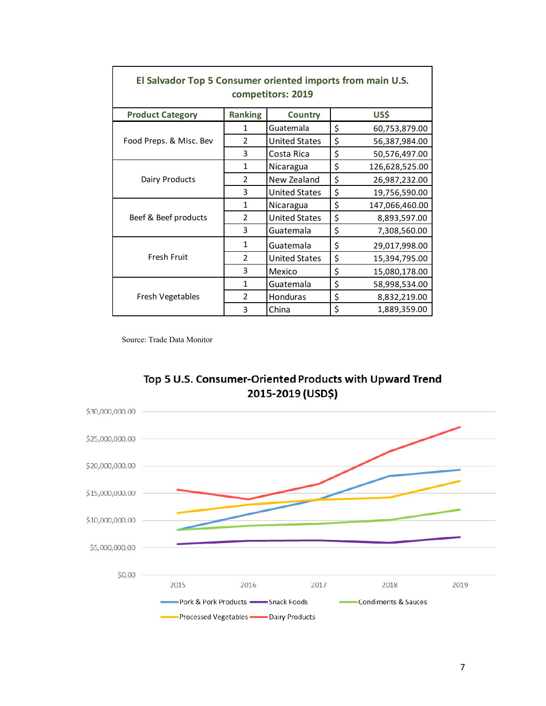| El Salvador Top 5 Consumer oriented imports from main U.S.<br>competitors: 2019 |                |                      |    |                |  |  |  |
|---------------------------------------------------------------------------------|----------------|----------------------|----|----------------|--|--|--|
| <b>Product Category</b>                                                         | <b>Ranking</b> | <b>Country</b>       |    | US\$           |  |  |  |
| Food Preps. & Misc. Bev                                                         | 1              | Guatemala            | \$ | 60,753,879.00  |  |  |  |
|                                                                                 | $\mathcal{P}$  | <b>United States</b> | \$ | 56,387,984.00  |  |  |  |
|                                                                                 | 3              | Costa Rica           | \$ | 50,576,497.00  |  |  |  |
| Dairy Products                                                                  | 1              | Nicaragua            | \$ | 126,628,525.00 |  |  |  |
|                                                                                 | 2              | New Zealand          | \$ | 26,987,232.00  |  |  |  |
|                                                                                 | 3              | <b>United States</b> | \$ | 19,756,590.00  |  |  |  |
| Beef & Beef products                                                            | 1              | Nicaragua            | \$ | 147,066,460.00 |  |  |  |
|                                                                                 | $\mathfrak{D}$ | <b>United States</b> | \$ | 8,893,597.00   |  |  |  |
|                                                                                 | 3              | Guatemala            | \$ | 7,308,560.00   |  |  |  |
| <b>Fresh Fruit</b>                                                              | 1              | Guatemala            | \$ | 29,017,998.00  |  |  |  |
|                                                                                 | $\mathcal{P}$  | <b>United States</b> | \$ | 15,394,795.00  |  |  |  |
|                                                                                 | 3              | Mexico               | \$ | 15,080,178.00  |  |  |  |
| Fresh Vegetables                                                                | 1              | Guatemala            | \$ | 58,998,534.00  |  |  |  |
|                                                                                 | 2              | Honduras             | \$ | 8,832,219.00   |  |  |  |
|                                                                                 | 3              | China                | \$ | 1,889,359.00   |  |  |  |

Source: Trade Data Monitor

 $\Gamma$ 



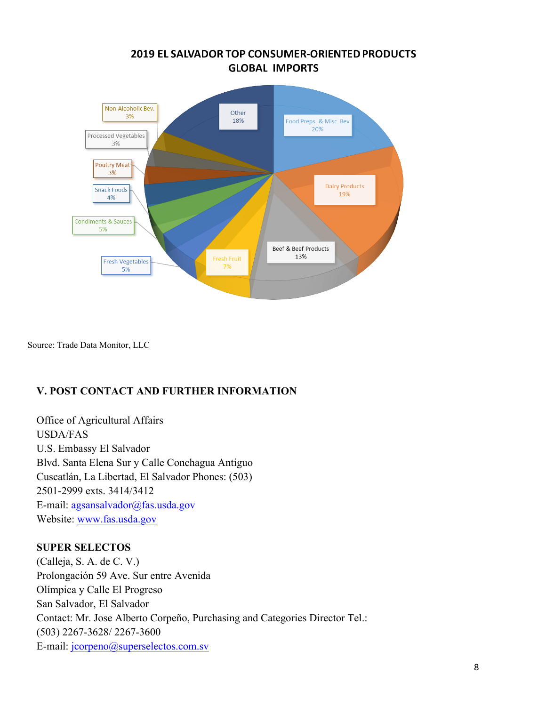## **2019 EL SALVADOR TOP CONSUMER-ORIENTED PRODUCTS GLOBAL IMPORTS**



Source: Trade Data Monitor, LLC

## **V. POST CONTACT AND FURTHER INFORMATION**

Office of Agricultural Affairs USDA/FAS U.S. Embassy El Salvador Blvd. Santa Elena Sur y Calle Conchagua Antiguo Cuscatlán, La Libertad, El Salvador Phones: (503) 2501-2999 exts. 3414/3412 E-mail: [agsansalvador@fas.usda.gov](mailto:agsansalvador@fas.usda.gov)  Website: [www.fas.usda.gov](http://www.fas.usda.gov/)

#### **SUPER SELECTOS**

(Calleja, S. A. de C. V.) Prolongación 59 Ave. Sur entre Avenida Olímpica y Calle El Progreso San Salvador, El Salvador Contact: Mr. Jose Alberto Corpeño, Purchasing and Categories Director Tel.: (503) 2267-3628/ 2267-3600 E-mail: [jcorpeno@superselectos.com.sv](mailto:jcorpeno@superselectos.com.sv)